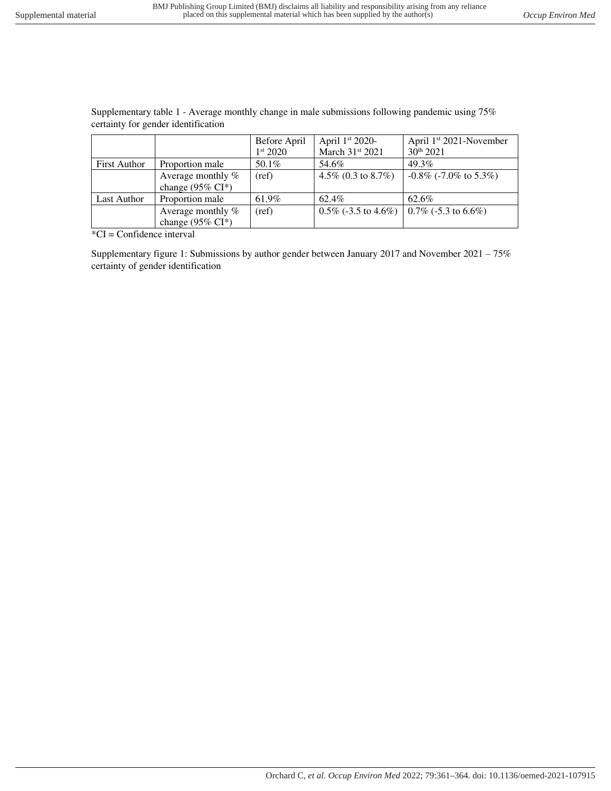| certainty for genuer identification |                      |                      |                                 |                                     |
|-------------------------------------|----------------------|----------------------|---------------------------------|-------------------------------------|
|                                     |                      | Before April         | April $1st 2020$ -              | April 1 <sup>st</sup> 2021-November |
|                                     |                      | 1 <sup>st</sup> 2020 | March 31st 2021                 | $30^{th}$ 2021                      |
| <b>First Author</b>                 | Proportion male      | 50.1%                | 54.6%                           | $49.3\%$                            |
|                                     | Average monthly %    | (ref)                | 4.5\% $(0.3 \text{ to } 8.7\%)$ | $-0.8\%$ (-7.0% to 5.3%)            |
|                                     | change (95% $CI^*$ ) |                      |                                 |                                     |
| Last Author                         | Proportion male      | 61.9%                | 62.4%                           | 62.6%                               |
|                                     | Average monthly $%$  | (ref)                | $0.5\%$ (-3.5 to 4.6%)          | $0.7\%$ (-5.3 to 6.6%)              |
|                                     | change (95% $CI^*$ ) |                      |                                 |                                     |

Supplementary table 1 - Average monthly change in male submissions following pandemic using 75% certainty for gender identification

\*CI = Confidence interval

Supplementary figure 1: Submissions by author gender between January 2017 and November 2021 – 75% certainty of gender identification